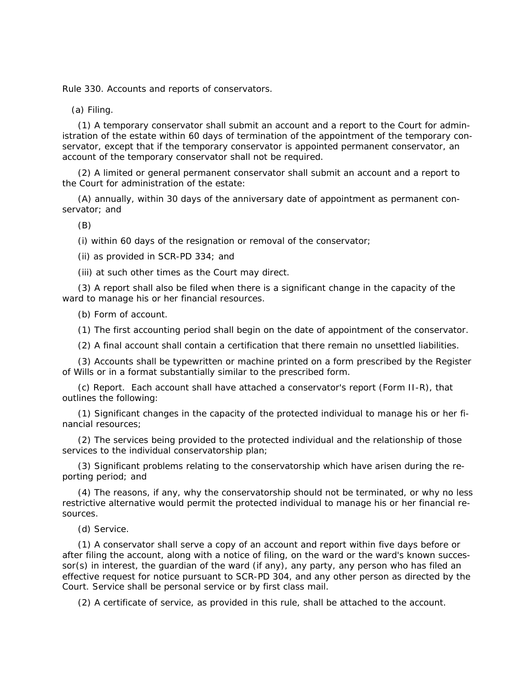Rule 330. Accounts and reports of conservators.

(a) Filing.

(1) A temporary conservator shall submit an account and a report to the Court for administration of the estate within 60 days of termination of the appointment of the temporary conservator, except that if the temporary conservator is appointed permanent conservator, an account of the temporary conservator shall not be required.

(2) A limited or general permanent conservator shall submit an account and a report to the Court for administration of the estate:

(A) annually, within 30 days of the anniversary date of appointment as permanent conservator; and

(B)

(i) within 60 days of the resignation or removal of the conservator;

(ii) as provided in SCR-PD 334; and

(iii) at such other times as the Court may direct.

(3) A report shall also be filed when there is a significant change in the capacity of the ward to manage his or her financial resources.

(b) Form of account.

(1) The first accounting period shall begin on the date of appointment of the conservator.

(2) A final account shall contain a certification that there remain no unsettled liabilities.

(3) Accounts shall be typewritten or machine printed on a form prescribed by the Register of Wills or in a format substantially similar to the prescribed form.

(c) Report. Each account shall have attached a conservator's report (Form II-R), that outlines the following:

(1) Significant changes in the capacity of the protected individual to manage his or her financial resources;

(2) The services being provided to the protected individual and the relationship of those services to the individual conservatorship plan;

(3) Significant problems relating to the conservatorship which have arisen during the reporting period; and

(4) The reasons, if any, why the conservatorship should not be terminated, or why no less restrictive alternative would permit the protected individual to manage his or her financial resources.

(d) Service.

(1) A conservator shall serve a copy of an account and report within five days before or after filing the account, along with a notice of filing, on the ward or the ward's known successor(s) in interest, the guardian of the ward (if any), any party, any person who has filed an effective request for notice pursuant to SCR-PD 304, and any other person as directed by the Court. Service shall be personal service or by first class mail.

(2) A certificate of service, as provided in this rule, shall be attached to the account.